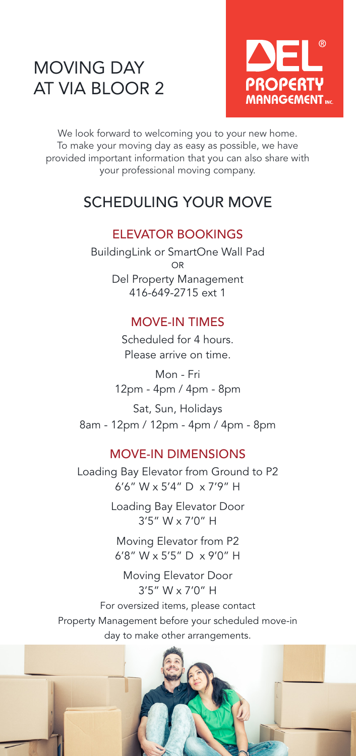# MOVING DAY AT VIA BLOOR 2



We look forward to welcoming you to your new home. To make your moving day as easy as possible, we have provided important information that you can also share with your professional moving company.

## SCHEDULING YOUR MOVE

#### ELEVATOR BOOKINGS

BuildingLink or SmartOne Wall Pad OR Del Property Management 416-649-2715 ext 1

## MOVE-IN TIMES

Scheduled for 4 hours. Please arrive on time.

Mon - Fri 12pm - 4pm / 4pm - 8pm

Sat, Sun, Holidays 8am - 12pm / 12pm - 4pm / 4pm - 8pm

## MOVE-IN DIMENSIONS

Loading Bay Elevator from Ground to P2 6'6" W x 5'4" D x 7'9" H

> Loading Bay Elevator Door 3'5" W x 7'0" H

Moving Elevator from P2 6'8" W x 5'5" D x 9'0" H

Moving Elevator Door 3'5" W x 7'0" H

For oversized items, please contact Property Management before your scheduled move-in day to make other arrangements.